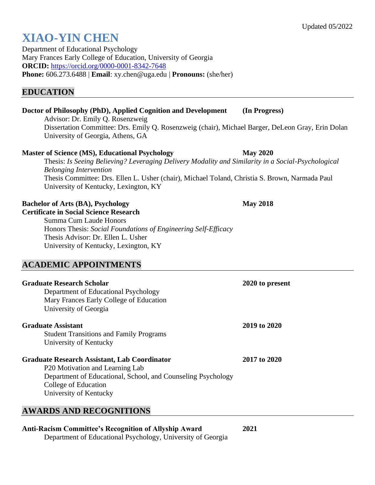# **XIAO-YIN CHEN**

Department of Educational Psychology Mary Frances Early College of Education, University of Georgia **ORCID:** <https://orcid.org/0000-0001-8342-7648> **Phone:** 606.273.6488 | **Email**: xy.chen@uga.edu | **Pronouns:** (she/her)

## **EDUCATION**

# **Doctor of Philosophy (PhD), Applied Cognition and Development (In Progress)**

Advisor: Dr. Emily Q. Rosenzweig Dissertation Committee: Drs. Emily Q. Rosenzweig (chair), Michael Barger, DeLeon Gray, Erin Dolan University of Georgia, Athens, GA

#### **Master of Science (MS), Educational Psychology May 2020**

Thesis: *Is Seeing Believing? Leveraging Delivery Modality and Similarity in a Social-Psychological Belonging Intervention* Thesis Committee: Drs. Ellen L. Usher (chair), Michael Toland, Christia S. Brown, Narmada Paul University of Kentucky, Lexington, KY

#### **Bachelor of Arts (BA), Psychology May 2018**

**Certificate in Social Science Research** Summa Cum Laude Honors Honors Thesis: *Social Foundations of Engineering Self-Efficacy* Thesis Advisor: Dr. Ellen L. Usher University of Kentucky, Lexington, KY

## **ACADEMIC APPOINTMENTS**

| Graduate Research Scholar                                    | 2020 to present |
|--------------------------------------------------------------|-----------------|
| Department of Educational Psychology                         |                 |
| Mary Frances Early College of Education                      |                 |
| University of Georgia                                        |                 |
| <b>Graduate Assistant</b>                                    | 2019 to 2020    |
| <b>Student Transitions and Family Programs</b>               |                 |
| University of Kentucky                                       |                 |
| <b>Graduate Research Assistant, Lab Coordinator</b>          | 2017 to 2020    |
| P <sub>20</sub> Motivation and Learning Lab                  |                 |
| Department of Educational, School, and Counseling Psychology |                 |
| College of Education                                         |                 |
| University of Kentucky                                       |                 |
|                                                              |                 |

## **AWARDS AND RECOGNITIONS**

#### **Anti-Racism Committee's Recognition of Allyship Award 2021**

Department of Educational Psychology, University of Georgia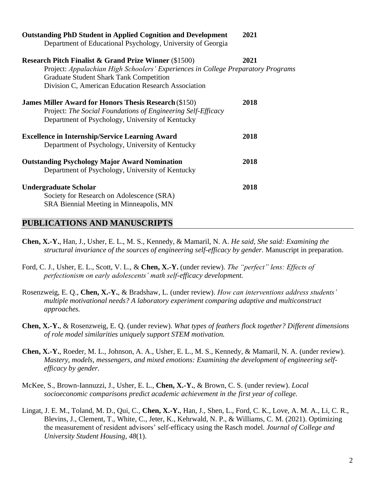| <b>Outstanding PhD Student in Applied Cognition and Development</b>                                      | 2021 |
|----------------------------------------------------------------------------------------------------------|------|
| Department of Educational Psychology, University of Georgia                                              |      |
| <b>Research Pitch Finalist &amp; Grand Prize Winner (\$1500)</b>                                         | 2021 |
| Project: Appalachian High Schoolers' Experiences in College Preparatory Programs                         |      |
| <b>Graduate Student Shark Tank Competition</b>                                                           |      |
| Division C, American Education Research Association                                                      |      |
| <b>James Miller Award for Honors Thesis Research (\$150)</b>                                             | 2018 |
| Project: The Social Foundations of Engineering Self-Efficacy                                             |      |
| Department of Psychology, University of Kentucky                                                         |      |
| <b>Excellence in Internship/Service Learning Award</b>                                                   | 2018 |
| Department of Psychology, University of Kentucky                                                         |      |
|                                                                                                          | 2018 |
| <b>Outstanding Psychology Major Award Nomination</b><br>Department of Psychology, University of Kentucky |      |
|                                                                                                          |      |
| <b>Undergraduate Scholar</b>                                                                             | 2018 |
| Society for Research on Adolescence (SRA)                                                                |      |
| SRA Biennial Meeting in Minneapolis, MN                                                                  |      |

### **PUBLICATIONS AND MANUSCRIPTS**

- **Chen, X.-Y.**, Han, J., Usher, E. L., M. S., Kennedy, & Mamaril, N. A. *He said, She said: Examining the structural invariance of the sources of engineering self-efficacy by gender.* Manuscript in preparation.
- Ford, C. J., Usher, E. L., Scott, V. L., & **Chen, X.-Y.** (under review). *The "perfect" lens: Effects of perfectionism on early adolescents' math self-efficacy development.*
- Rosenzweig, E. Q., **Chen, X.-Y.**, & Bradshaw, L. (under review). *How can interventions address students' multiple motivational needs? A laboratory experiment comparing adaptive and multiconstruct approaches.*
- **Chen, X.-Y.**, & Rosenzweig, E. Q. (under review). *What types of feathers flock together? Different dimensions of role model similarities uniquely support STEM motivation.*
- **Chen, X.-Y.**, Roeder, M. L., Johnson, A. A., Usher, E. L., M. S., Kennedy, & Mamaril, N. A. (under review). *Mastery, models, messengers, and mixed emotions: Examining the development of engineering selfefficacy by gender.*
- McKee, S., Brown-Iannuzzi, J., Usher, E. L., **Chen, X.-Y.**, & Brown, C. S. (under review). *Local socioeconomic comparisons predict academic achievement in the first year of college.*
- Lingat, J. E. M., Toland, M. D., Qui, C., **Chen, X.-Y.**, Han, J., Shen, L., Ford, C. K., Love, A. M. A., Li, C. R., Blevins, J., Clement, T., White, C., Jeter, K., Kehrwald, N. P., & Williams, C. M. (2021). Optimizing the measurement of resident advisors' self-efficacy using the Rasch model. *Journal of College and University Student Housing*, *48*(1).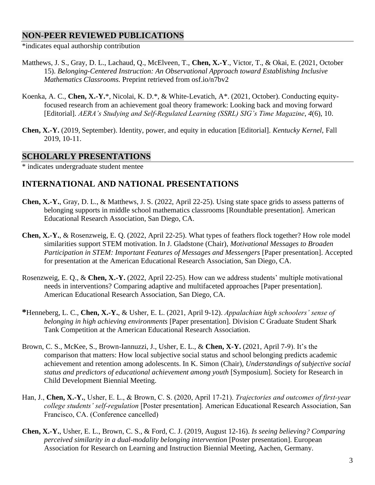# **NON-PEER REVIEWED PUBLICATIONS**

\*indicates equal authorship contribution

- Matthews, J. S., Gray, D. L., Lachaud, Q., McElveen, T., **Chen, X.-Y**., Victor, T., & Okai, E. (2021, October 15). *Belonging-Centered Instruction: An Observational Approach toward Establishing Inclusive Mathematics Classrooms.* Preprint retrieved from osf.io/n7bv2
- Koenka, A. C., **Chen, X.-Y.**\*, Nicolai, K. D.\*, & White-Levatich, A\*. (2021, October). Conducting equityfocused research from an achievement goal theory framework: Looking back and moving forward [Editorial]. *AERA's Studying and Self-Regulated Learning (SSRL) SIG's Time Magazine*, *4*(6), 10.
- **Chen, X.-Y.** (2019, September). Identity, power, and equity in education [Editorial]. *Kentucky Kernel*, Fall 2019, 10-11.

### **SCHOLARLY PRESENTATIONS**

\* indicates undergraduate student mentee

# **INTERNATIONAL AND NATIONAL PRESENTATIONS**

- **Chen, X.-Y.**, Gray, D. L., & Matthews, J. S. (2022, April 22-25). Using state space grids to assess patterns of belonging supports in middle school mathematics classrooms [Roundtable presentation]. American Educational Research Association, San Diego, CA.
- **Chen, X.-Y.**, & Rosenzweig, E. Q. (2022, April 22-25). What types of feathers flock together? How role model similarities support STEM motivation. In J. Gladstone (Chair), *Motivational Messages to Broaden Participation in STEM: Important Features of Messages and Messengers [Paper presentation]. Accepted* for presentation at the American Educational Research Association, San Diego, CA.
- Rosenzweig, E. Q., & **Chen, X.-Y.** (2022, April 22-25). How can we address students' multiple motivational needs in interventions? Comparing adaptive and multifaceted approaches [Paper presentation]. American Educational Research Association, San Diego, CA.
- **\***Henneberg, L. C., **Chen, X.-Y.**, & Usher, E. L. (2021, April 9-12). *Appalachian high schoolers' sense of belonging in high achieving environments* [Paper presentation]. Division C Graduate Student Shark Tank Competition at the American Educational Research Association.
- Brown, C. S., McKee, S., Brown-Iannuzzi, J., Usher, E. L., & **Chen, X-Y.** (2021, April 7-9). It's the comparison that matters: How local subjective social status and school belonging predicts academic achievement and retention among adolescents. In K. Simon (Chair), *Understandings of subjective social status and predictors of educational achievement among youth* [Symposium]. Society for Research in Child Development Biennial Meeting.
- Han, J., **Chen, X.-Y.**, Usher, E. L., & Brown, C. S. (2020, April 17-21). *Trajectories and outcomes of first-year college students' self-regulation* [Poster presentation]*.* American Educational Research Association, San Francisco, CA. (Conference cancelled)
- **Chen, X.-Y.**, Usher, E. L., Brown, C. S., & Ford, C. J. (2019, August 12-16). *Is seeing believing? Comparing perceived similarity in a dual-modality belonging intervention* [Poster presentation]. European Association for Research on Learning and Instruction Biennial Meeting, Aachen, Germany.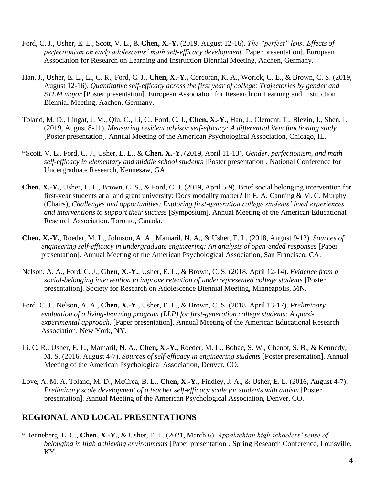- Ford, C. J., Usher, E. L., Scott, V. L., & **Chen, X.-Y.** (2019, August 12-16). *The "perfect" lens: Effects of perfectionism on early adolescents' math self-efficacy development* [Paper presentation]. European Association for Research on Learning and Instruction Biennial Meeting, Aachen, Germany.
- Han, J., Usher, E. L., Li, C. R., Ford, C. J., **Chen, X.-Y.,** Corcoran, K. A., Worick, C. E., & Brown, C. S. (2019, August 12-16). *Quantitative self-efficacy across the first year of college: Trajectories by gender and STEM major* [Poster presentation]. European Association for Research on Learning and Instruction Biennial Meeting, Aachen, Germany.
- Toland, M. D., Lingat, J. M., Qiu, C., Li, C., Ford, C. J., **Chen, X.-Y.**, Han, J., Clement, T., Blevin, J., Shen, L. (2019, August 8-11). *Measuring resident advisor self-efficacy: A differential item functioning study* [Poster presentation]. Annual Meeting of the American Psychological Association, Chicago, IL.
- \*Scott, V. L., Ford, C. J., Usher, E. L., & **Chen, X.-Y.** (2019, April 11-13). *Gender, perfectionism, and math self-efficacy in elementary and middle school students* [Poster presentation]. National Conference for Undergraduate Research, Kennesaw, GA.
- **Chen, X.-Y.**, Usher, E. L., Brown, C. S., & Ford, C. J. (2019, April 5-9). Brief social belonging intervention for first-year students at a land grant university: Does modality matter? In E. A. Canning & M. C. Murphy (Chairs), *Challenges and opportunities: Exploring first-generation college students' lived experiences and interventions to support their success* [Symposium]. Annual Meeting of the American Educational Research Association. Toronto, Canada.
- **Chen, X.-Y.**, Roeder, M. L., Johnson, A. A., Mamaril, N. A., & Usher, E. L. (2018, August 9-12). *Sources of engineering self-efficacy in undergraduate engineering: An analysis of open-ended responses* [Paper presentation]. Annual Meeting of the American Psychological Association, San Francisco, CA.
- Nelson, A. A., Ford, C. J., **Chen, X.-Y.**, Usher, E. L., & Brown, C. S. (2018, April 12-14). *Evidence from a social-belonging intervention to improve retention of underrepresented college students* [Poster presentation]. Society for Research on Adolescence Biennial Meeting, Minneapolis, MN.
- Ford, C. J., Nelson, A. A., **Chen, X.-Y.**, Usher, E. L., & Brown, C. S. (2018, April 13-17). *Preliminary evaluation of a living-learning program (LLP) for first-generation college students: A quasiexperimental approach.* [Paper presentation]. Annual Meeting of the American Educational Research Association. New York, NY.
- Li, C. R., Usher, E. L., Mamaril, N. A., **Chen, X.-Y.**, Roeder, M. L., Bohac, S. W., Chenot, S. B., & Kennedy, M. S. (2016, August 4-7). *Sources of self-efficacy in engineering students* [Poster presentation]. Annual Meeting of the American Psychological Association, Denver, CO.
- Love, A. M. A, Toland, M. D., McCrea, B. L., **Chen, X.-Y.**, Findley, J. A., & Usher, E. L. (2016, August 4-7). *Preliminary scale development of a teacher self-efficacy scale for students with autism* [Poster presentation]. Annual Meeting of the American Psychological Association, Denver, CO.

# **REGIONAL AND LOCAL PRESENTATIONS**

\*Henneberg, L. C., **Chen, X.-Y.**, & Usher, E. L. (2021, March 6). *Appalachian high schoolers' sense of belonging in high achieving environments* [Paper presentation]. Spring Research Conference, Louisville, KY.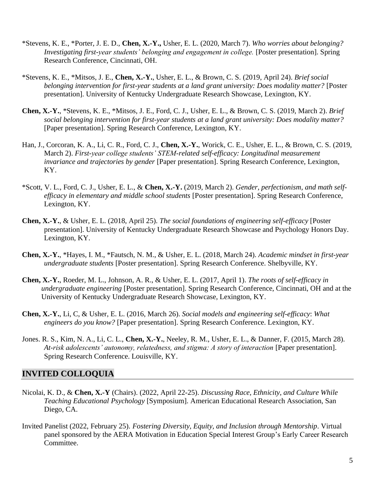- \*Stevens, K. E., \*Porter, J. E. D., **Chen, X.-Y.,** Usher, E. L. (2020, March 7). *Who worries about belonging? Investigating first-year students' belonging and engagement in college.* [Poster presentation]. Spring Research Conference, Cincinnati, OH.
- \*Stevens, K. E., \*Mitsos, J. E., **Chen, X.-Y.**, Usher, E. L., & Brown, C. S. (2019, April 24). *Brief social belonging intervention for first-year students at a land grant university: Does modality matter?* [Poster presentation]. University of Kentucky Undergraduate Research Showcase, Lexington, KY.
- **Chen, X.-Y.**, \*Stevens, K. E., \*Mitsos, J. E., Ford, C. J., Usher, E. L., & Brown, C. S. (2019, March 2). *Brief social belonging intervention for first-year students at a land grant university: Does modality matter?* [Paper presentation]. Spring Research Conference, Lexington, KY.
- Han, J., Corcoran, K. A., Li, C. R., Ford, C. J., **Chen, X.-Y.**, Worick, C. E., Usher, E. L., & Brown, C. S. (2019, March 2). *First-year college students' STEM-related self-efficacy: Longitudinal measurement invariance and trajectories by gender* [Paper presentation]. Spring Research Conference, Lexington, KY.
- \*Scott, V. L., Ford, C. J., Usher, E. L., & **Chen, X.-Y.** (2019, March 2). *Gender, perfectionism, and math selfefficacy in elementary and middle school students* [Poster presentation]. Spring Research Conference, Lexington, KY.
- **Chen, X.-Y.**, & Usher, E. L. (2018, April 25). *The social foundations of engineering self-efficacy* [Poster presentation]. University of Kentucky Undergraduate Research Showcase and Psychology Honors Day. Lexington, KY.
- **Chen, X.-Y.**, \*Hayes, I. M., \*Fautsch, N. M., & Usher, E. L. (2018, March 24). *Academic mindset in first-year undergraduate students* [Poster presentation]. Spring Research Conference. Shelbyville, KY.
- **Chen, X.-Y.**, Roeder, M. L., Johnson, A. R., & Usher, E. L. (2017, April 1). *The roots of self-efficacy in undergraduate engineering* [Poster presentation]. Spring Research Conference, Cincinnati, OH and at the University of Kentucky Undergraduate Research Showcase, Lexington, KY.
- **Chen, X.-Y.**, Li, C, & Usher, E. L. (2016, March 26). *Social models and engineering self-efficacy*: *What engineers do you know?* [Paper presentation]. Spring Research Conference. Lexington, KY.
- Jones. R. S., Kim, N. A., Li, C. L., **Chen, X.-Y.**, Neeley, R. M., Usher, E. L., & Danner, F. (2015, March 28). *At-risk adolescents' autonomy, relatedness, and stigma: A story of interaction* [Paper presentation]. Spring Research Conference. Louisville, KY.

## **INVITED COLLOQUIA**

- Nicolai, K. D., & **Chen, X.-Y** (Chairs). (2022, April 22-25). *Discussing Race, Ethnicity, and Culture While Teaching Educational Psychology* [Symposium]. American Educational Research Association, San Diego, CA.
- Invited Panelist (2022, February 25). *Fostering Diversity, Equity, and Inclusion through Mentorship*. Virtual panel sponsored by the AERA Motivation in Education Special Interest Group's Early Career Research Committee.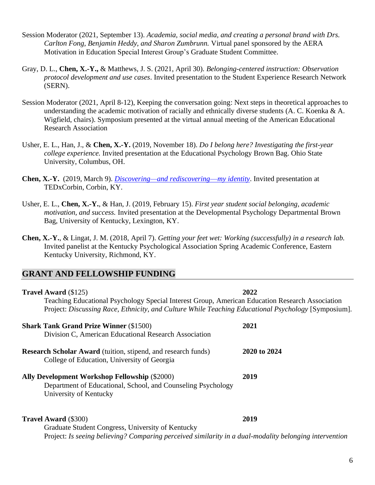- Session Moderator (2021, September 13). *Academia, social media, and creating a personal brand with Drs. Carlton Fong, Benjamin Heddy, and Sharon Zumbrunn.* Virtual panel sponsored by the AERA Motivation in Education Special Interest Group's Graduate Student Committee.
- Gray, D. L., **Chen, X.-Y.,** & Matthews, J. S. (2021, April 30). *Belonging-centered instruction: Observation protocol development and use cases*. Invited presentation to the Student Experience Research Network (SERN).
- Session Moderator (2021, April 8-12), Keeping the conversation going: Next steps in theoretical approaches to understanding the academic motivation of racially and ethnically diverse students (A. C. Koenka & A. Wigfield, chairs). Symposium presented at the virtual annual meeting of the American Educational Research Association
- Usher, E. L., Han, J., & **Chen, X.-Y.** (2019, November 18). *Do I belong here? Investigating the first-year college experience.* Invited presentation at the Educational Psychology Brown Bag. Ohio State University, Columbus, OH.
- **Chen, X.-Y.** (2019, March 9). *[Discovering—and](https://www.ted.com/talks/xiao_yin_chen_discovering_and_rediscovering_my_identity) rediscovering*—*my identity*. Invited presentation at TEDxCorbin, Corbin, KY.
- Usher, E. L., **Chen, X.-Y.**, & Han, J. (2019, February 15). *First year student social belonging, academic motivation, and success.* Invited presentation at the Developmental Psychology Departmental Brown Bag, University of Kentucky, Lexington, KY.
- **Chen, X.-Y.**, & Lingat, J. M. (2018, April 7). *Getting your feet wet: Working (successfully) in a research lab.*  Invited panelist at the Kentucky Psychological Association Spring Academic Conference, Eastern Kentucky University, Richmond, KY.

## **GRANT AND FELLOWSHIP FUNDING**

| <b>Travel Award (\$125)</b>                                                                                         | 2022                                                                                                |  |  |
|---------------------------------------------------------------------------------------------------------------------|-----------------------------------------------------------------------------------------------------|--|--|
| Teaching Educational Psychology Special Interest Group, American Education Research Association                     |                                                                                                     |  |  |
|                                                                                                                     | Project: Discussing Race, Ethnicity, and Culture While Teaching Educational Psychology [Symposium]. |  |  |
| <b>Shark Tank Grand Prize Winner (\$1500)</b>                                                                       | 2021                                                                                                |  |  |
| Division C, American Educational Research Association                                                               |                                                                                                     |  |  |
| <b>Research Scholar Award</b> (tuition, stipend, and research funds)<br>College of Education, University of Georgia | 2020 to 2024                                                                                        |  |  |
| <b>Ally Development Workshop Fellowship (\$2000)</b>                                                                | 2019                                                                                                |  |  |
| Department of Educational, School, and Counseling Psychology                                                        |                                                                                                     |  |  |
| University of Kentucky                                                                                              |                                                                                                     |  |  |
| <b>Travel Award</b> (\$300)                                                                                         | 2019                                                                                                |  |  |
| Graduate Student Congress, University of Kentucky                                                                   |                                                                                                     |  |  |
| Project: Is seeing believing? Comparing perceived similarity in a dual-modality belonging intervention              |                                                                                                     |  |  |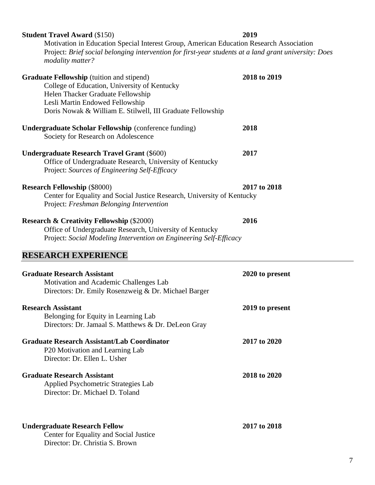**Graduate Fellowship** (tuition and stipend) **2018 to 2019** College of Education, University of Kentucky Helen Thacker Graduate Fellowship Lesli Martin Endowed Fellowship Doris Nowak & William E. Stilwell, III Graduate Fellowship **Undergraduate Scholar Fellowship** (conference funding) **2018** Society for Research on Adolescence **Undergraduate Research Travel Grant** (\$600) **2017** Office of Undergraduate Research, University of Kentucky Project: *Sources of Engineering Self-Efficacy* **Research Fellowship** (\$8000) **2017 to 2018** Center for Equality and Social Justice Research, University of Kentucky Project: *Freshman Belonging Intervention* **Research & Creativity Fellowship** (\$2000) **2016** Office of Undergraduate Research, University of Kentucky Project: *Social Modeling Intervention on Engineering Self-Efficacy*

### **RESEARCH EXPERIENCE**

| <b>Graduate Research Assistant</b><br>Motivation and Academic Challenges Lab<br>Directors: Dr. Emily Rosenzweig & Dr. Michael Barger | 2020 to present |
|--------------------------------------------------------------------------------------------------------------------------------------|-----------------|
| <b>Research Assistant</b><br>Belonging for Equity in Learning Lab<br>Directors: Dr. Jamaal S. Matthews & Dr. DeLeon Gray             | 2019 to present |
| <b>Graduate Research Assistant/Lab Coordinator</b><br>P <sub>20</sub> Motivation and Learning Lab<br>Director: Dr. Ellen L. Usher    | 2017 to 2020    |
| <b>Graduate Research Assistant</b><br>Applied Psychometric Strategies Lab<br>Director: Dr. Michael D. Toland                         | 2018 to 2020    |
| <b>Undergraduate Research Fellow</b><br>Center for Equality and Social Justice<br>Director: Dr. Christia S. Brown                    | 2017 to 2018    |

**Student Travel Award** (\$150) **2019**

Motivation in Education Special Interest Group, American Education Research Association Project: *Brief social belonging intervention for first-year students at a land grant university: Does modality matter?*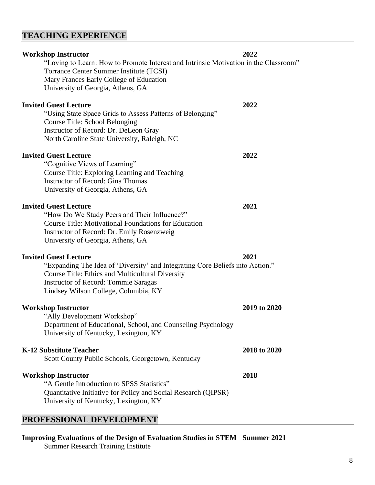# **TEACHING EXPERIENCE**

| <b>Workshop Instructor</b>                                                           | 2022         |
|--------------------------------------------------------------------------------------|--------------|
| "Loving to Learn: How to Promote Interest and Intrinsic Motivation in the Classroom" |              |
| Torrance Center Summer Institute (TCSI)                                              |              |
| Mary Frances Early College of Education                                              |              |
| University of Georgia, Athens, GA                                                    |              |
| <b>Invited Guest Lecture</b>                                                         | 2022         |
| "Using State Space Grids to Assess Patterns of Belonging"                            |              |
| Course Title: School Belonging                                                       |              |
| Instructor of Record: Dr. DeLeon Gray                                                |              |
| North Caroline State University, Raleigh, NC                                         |              |
|                                                                                      |              |
| <b>Invited Guest Lecture</b>                                                         | 2022         |
| "Cognitive Views of Learning"                                                        |              |
| Course Title: Exploring Learning and Teaching                                        |              |
| <b>Instructor of Record: Gina Thomas</b>                                             |              |
| University of Georgia, Athens, GA                                                    |              |
| <b>Invited Guest Lecture</b>                                                         | 2021         |
| "How Do We Study Peers and Their Influence?"                                         |              |
| <b>Course Title: Motivational Foundations for Education</b>                          |              |
|                                                                                      |              |
| Instructor of Record: Dr. Emily Rosenzweig<br>University of Georgia, Athens, GA      |              |
|                                                                                      |              |
| <b>Invited Guest Lecture</b>                                                         | 2021         |
| "Expanding The Idea of 'Diversity' and Integrating Core Beliefs into Action."        |              |
| <b>Course Title: Ethics and Multicultural Diversity</b>                              |              |
| Instructor of Record: Tommie Saragas                                                 |              |
| Lindsey Wilson College, Columbia, KY                                                 |              |
| <b>Workshop Instructor</b>                                                           | 2019 to 2020 |
| "Ally Development Workshop"                                                          |              |
| Department of Educational, School, and Counseling Psychology                         |              |
|                                                                                      |              |
| University of Kentucky, Lexington, KY                                                |              |
| <b>K-12 Substitute Teacher</b>                                                       | 2018 to 2020 |
| Scott County Public Schools, Georgetown, Kentucky                                    |              |
|                                                                                      |              |
| <b>Workshop Instructor</b>                                                           | 2018         |
| "A Gentle Introduction to SPSS Statistics"                                           |              |
| Quantitative Initiative for Policy and Social Research (QIPSR)                       |              |
| University of Kentucky, Lexington, KY                                                |              |
|                                                                                      |              |

# **PROFESSIONAL DEVELOPMENT**

**Improving Evaluations of the Design of Evaluation Studies in STEM Summer 2021** Summer Research Training Institute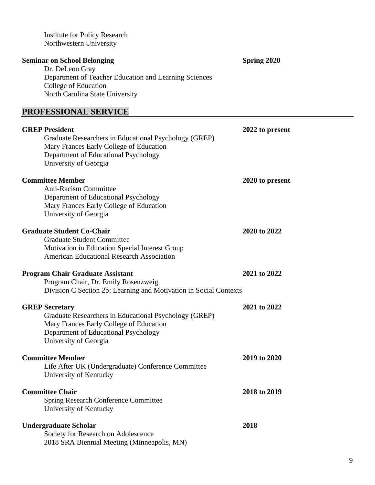| <b>Institute for Policy Research</b><br>Northwestern University                                                                                                                            |                    |
|--------------------------------------------------------------------------------------------------------------------------------------------------------------------------------------------|--------------------|
| <b>Seminar on School Belonging</b><br>Dr. DeLeon Gray<br>Department of Teacher Education and Learning Sciences<br>College of Education<br>North Carolina State University                  | <b>Spring 2020</b> |
| PROFESSIONAL SERVICE                                                                                                                                                                       |                    |
| <b>GREP President</b><br>Graduate Researchers in Educational Psychology (GREP)<br>Mary Frances Early College of Education<br>Department of Educational Psychology<br>University of Georgia | 2022 to present    |
| <b>Committee Member</b><br><b>Anti-Racism Committee</b><br>Department of Educational Psychology<br>Mary Frances Early College of Education<br>University of Georgia                        | 2020 to present    |
| <b>Graduate Student Co-Chair</b><br><b>Graduate Student Committee</b><br>Motivation in Education Special Interest Group<br><b>American Educational Research Association</b>                | 2020 to 2022       |
| <b>Program Chair Graduate Assistant</b><br>Program Chair, Dr. Emily Rosenzweig<br>Division C Section 2b: Learning and Motivation in Social Contexts                                        | 2021 to 2022       |
| <b>GREP Secretary</b><br>Graduate Researchers in Educational Psychology (GREP)<br>Mary Frances Early College of Education<br>Department of Educational Psychology<br>University of Georgia | 2021 to 2022       |
| <b>Committee Member</b><br>Life After UK (Undergraduate) Conference Committee<br>University of Kentucky                                                                                    | 2019 to 2020       |
| <b>Committee Chair</b><br><b>Spring Research Conference Committee</b><br>University of Kentucky                                                                                            | 2018 to 2019       |
| <b>Undergraduate Scholar</b><br>Society for Research on Adolescence<br>2018 SRA Biennial Meeting (Minneapolis, MN)                                                                         | 2018               |